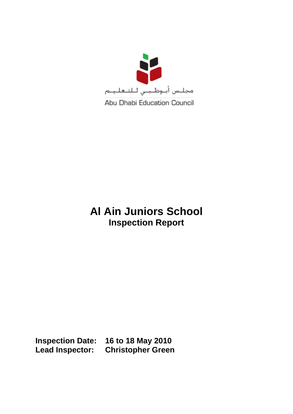

# **Al Ain Juniors School Inspection Report**

**Inspection Date: 16 to 18 May 2010 Lead Inspector: Christopher Green**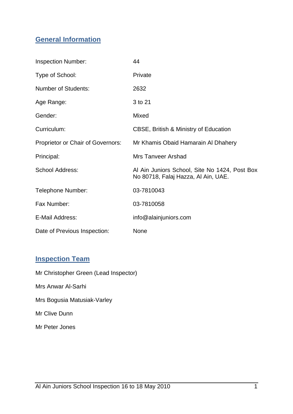#### **General Information**

| <b>Inspection Number:</b>         | 44                                                                                   |
|-----------------------------------|--------------------------------------------------------------------------------------|
| Type of School:                   | Private                                                                              |
| <b>Number of Students:</b>        | 2632                                                                                 |
| Age Range:                        | 3 to 21                                                                              |
| Gender:                           | Mixed                                                                                |
| Curriculum:                       | <b>CBSE, British &amp; Ministry of Education</b>                                     |
| Proprietor or Chair of Governors: | Mr Khamis Obaid Hamarain Al Dhahery                                                  |
| Principal:                        | <b>Mrs Tanveer Arshad</b>                                                            |
| <b>School Address:</b>            | Al Ain Juniors School, Site No 1424, Post Box<br>No 80718, Falaj Hazza, Al Ain, UAE. |
| Telephone Number:                 | 03-7810043                                                                           |
| Fax Number:                       | 03-7810058                                                                           |
| E-Mail Address:                   | info@alainjuniors.com                                                                |
| Date of Previous Inspection:      | <b>None</b>                                                                          |

### **Inspection Team**

Mr Christopher Green (Lead Inspector)

Mrs Anwar Al-Sarhi

Mrs Bogusia Matusiak-Varley

Mr Clive Dunn

Mr Peter Jones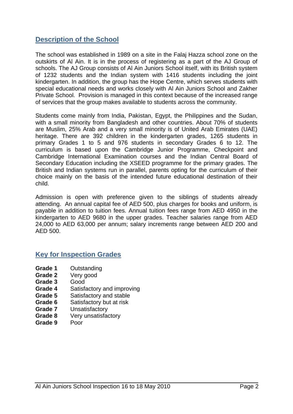#### **Description of the School**

The school was established in 1989 on a site in the Falaj Hazza school zone on the outskirts of Al Ain. It is in the process of registering as a part of the AJ Group of schools. The AJ Group consists of Al Ain Juniors School itself, with its British system of 1232 students and the Indian system with 1416 students including the joint kindergarten. In addition, the group has the Hope Centre, which serves students with special educational needs and works closely with Al Ain Juniors School and Zakher Private School. Provision is managed in this context because of the increased range of services that the group makes available to students across the community.

Students come mainly from India, Pakistan, Egypt, the Philippines and the Sudan, with a small minority from Bangladesh and other countries. About 70% of students are Muslim, 25% Arab and a very small minority is of United Arab Emirates (UAE) heritage. There are 392 children in the kindergarten grades, 1265 students in primary Grades 1 to 5 and 976 students in secondary Grades 6 to 12. The curriculum is based upon the Cambridge Junior Programme, Checkpoint and Cambridge International Examination courses and the Indian Central Board of Secondary Education including the XSEED programme for the primary grades. The British and Indian systems run in parallel, parents opting for the curriculum of their choice mainly on the basis of the intended future educational destination of their child.

Admission is open with preference given to the siblings of students already attending. An annual capital fee of AED 500, plus charges for books and uniform, is payable in addition to tuition fees. Annual tuition fees range from AED 4950 in the kindergarten to AED 9680 in the upper grades. Teacher salaries range from AED 24,000 to AED 63,000 per annum; salary increments range between AED 200 and AED 500.

#### **Key for Inspection Grades**

- **Grade 1** Outstanding
- **Grade 2** Very good
- **Grade 3** Good
- **Grade 4** Satisfactory and improving
- **Grade 5** Satisfactory and stable
- **Grade 6** Satisfactory but at risk
- **Grade 7** Unsatisfactory
- **Grade 8** Very unsatisfactory
- **Grade 9** Poor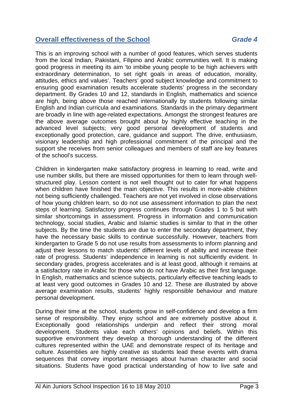#### **Overall effectiveness of the School** *Grade 4*

This is an improving school with a number of good features, which serves students from the local Indian, Pakistani, Filipino and Arabic communities well. It is making good progress in meeting its aim 'to imbibe young people to be high achievers with extraordinary determination, to set right goals in areas of education, morality, attitudes, ethics and values'. Teachers' good subject knowledge and commitment to ensuring good examination results accelerate students' progress in the secondary department. By Grades 10 and 12, standards in English, mathematics and science are high, being above those reached internationally by students following similar English and Indian curricula and examinations. Standards in the primary department are broadly in line with age-related expectations. Amongst the strongest features are the above average outcomes brought about by highly effective teaching in the advanced level subjects; very good personal development of students and exceptionally good protection, care, guidance and support. The drive, enthusiasm, visionary leadership and high professional commitment of the principal and the support she receives from senior colleagues and members of staff are key features of the school's success.

Children in kindergarten make satisfactory progress in learning to read, write and use number skills, but there are missed opportunities for them to learn through wellstructured play. Lesson content is not well thought out to cater for what happens when children have finished the main objective. This results in more-able children not being sufficiently challenged. Teachers are not yet involved in close observations of how young children learn, so do not use assessment information to plan the next steps of learning. Satisfactory progress continues through Grades 1 to 5 but with similar shortcomings in assessment. Progress in information and communication technology, social studies, Arabic and Islamic studies is similar to that in the other subjects. By the time the students are due to enter the secondary department, they have the necessary basic skills to continue successfully. However, teachers from kindergarten to Grade 5 do not use results from assessments to inform planning and adjust their lessons to match students' different levels of ability and increase their rate of progress. Students' independence in learning is not sufficiently evident. In secondary grades, progress accelerates and is at least good, although it remains at a satisfactory rate in Arabic for those who do not have Arabic as their first language. In English, mathematics and science subjects, particularly effective teaching leads to at least very good outcomes in Grades 10 and 12. These are illustrated by above average examination results, students' highly responsible behaviour and mature personal development.

During their time at the school, students grow in self-confidence and develop a firm sense of responsibility. They enjoy school and are extremely positive about it. Exceptionally good relationships underpin and reflect their strong moral development. Students value each others' opinions and beliefs. Within this supportive environment they develop a thorough understanding of the different cultures represented within the UAE and demonstrate respect of its heritage and culture. Assemblies are highly creative as students lead these events with drama sequences that convey important messages about human character and social situations. Students have good practical understanding of how to live safe and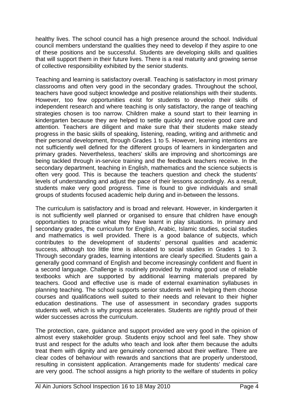healthy lives. The school council has a high presence around the school. Individual council members understand the qualities they need to develop if they aspire to one of these positions and be successful. Students are developing skills and qualities that will support them in their future lives. There is a real maturity and growing sense of collective responsibility exhibited by the senior students.

Teaching and learning is satisfactory overall. Teaching is satisfactory in most primary classrooms and often very good in the secondary grades. Throughout the school, teachers have good subject knowledge and positive relationships with their students. However, too few opportunities exist for students to develop their skills of independent research and where teaching is only satisfactory, the range of teaching strategies chosen is too narrow. Children make a sound start to their learning in kindergarten because they are helped to settle quickly and receive good care and attention. Teachers are diligent and make sure that their students make steady progress in the basic skills of speaking, listening, reading, writing and arithmetic and their personal development, through Grades 1 to 5. However, learning intentions are not sufficiently well defined for the different groups of learners in kindergarten and primary grades. Nevertheless, teachers' skills are improving and shortcomings are being tackled through in-service training and the feedback teachers receive. In the secondary department, teaching in English, mathematics and the science subjects is often very good. This is because the teachers question and check the students' levels of understanding and adjust the pace of their lessons accordingly. As a result, students make very good progress. Time is found to give individuals and small groups of students focused academic help during and in-between the lessons.

The curriculum is satisfactory and is broad and relevant. However, in kindergarten it is not sufficiently well planned or organised to ensure that children have enough opportunities to practise what they have learnt in play situations. In primary and secondary grades, the curriculum for English, Arabic, Islamic studies, social studies and mathematics is well provided. There is a good balance of subjects, which contributes to the development of students' personal qualities and academic success, although too little time is allocated to social studies in Grades 1 to 3. Through secondary grades, learning intentions are clearly specified. Students gain a generally good command of English and become increasingly confident and fluent in a second language. Challenge is routinely provided by making good use of reliable textbooks which are supported by additional learning materials prepared by teachers. Good and effective use is made of external examination syllabuses in planning teaching. The school supports senior students well in helping them choose courses and qualifications well suited to their needs and relevant to their higher education destinations. The use of assessment in secondary grades supports students well, which is why progress accelerates. Students are rightly proud of their wider successes across the curriculum.

The protection, care, guidance and support provided are very good in the opinion of almost every stakeholder group. Students enjoy school and feel safe. They show trust and respect for the adults who teach and look after them because the adults treat them with dignity and are genuinely concerned about their welfare. There are clear codes of behaviour with rewards and sanctions that are properly understood, resulting in consistent application. Arrangements made for students' medical care are very good. The school assigns a high priority to the welfare of students in policy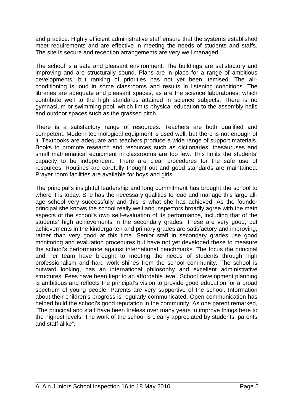and practice. Highly efficient administrative staff ensure that the systems established meet requirements and are effective in meeting the needs of students and staffs. The site is secure and reception arrangements are very well managed.

The school is a safe and pleasant environment. The buildings are satisfactory and improving and are structurally sound. Plans are in place for a range of ambitious developments, but ranking of priorities has not yet been itemised. The airconditioning is loud in some classrooms and results in listening conditions. The libraries are adequate and pleasant spaces, as are the science laboratories, which contribute well to the high standards attained in science subjects. There is no gymnasium or swimming pool, which limits physical education to the assembly halls and outdoor spaces such as the grassed pitch.

There is a satisfactory range of resources. Teachers are both qualified and competent. Modern technological equipment is used well, but there is not enough of it. Textbooks are adequate and teachers produce a wide range of support materials. Books to promote research and resources such as dictionaries, thesauruses and small mathematical equipment in classrooms are too few. This limits the students' capacity to be independent. There are clear procedures for the safe use of resources. Routines are carefully thought out and good standards are maintained. Prayer room facilities are available for boys and girls.

The principal's insightful leadership and long commitment has brought the school to where it is today. She has the necessary qualities to lead and manage this large allage school very successfully and this is what she has achieved. As the founder principal she knows the school really well and inspectors broadly agree with the main aspects of the school's own self-evaluation of its performance, including that of the students' high achievements in the secondary grades. These are very good, but achievements in the kindergarten and primary grades are satisfactory and improving, rather than very good at this time. Senior staff in secondary grades use good monitoring and evaluation procedures but have not yet developed these to measure the school's performance against international benchmarks. The focus the principal and her team have brought to meeting the needs of students through high professionalism and hard work shines from the school community. The school is outward looking, has an international philosophy and excellent administrative structures. Fees have been kept to an affordable level. School development planning is ambitious and reflects the principal's vision to provide good education for a broad spectrum of young people. Parents are very supportive of the school. Information about their children's progress is regularly communicated. Open communication has helped build the school's good reputation in the community. As one parent remarked, "The principal and staff have been tireless over many years to improve things here to the highest levels. The work of the school is clearly appreciated by students, parents and staff alike".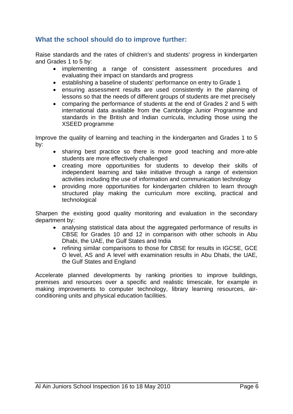#### **What the school should do to improve further:**

Raise standards and the rates of children's and students' progress in kindergarten and Grades 1 to 5 by:

- implementing a range of consistent assessment procedures and evaluating their impact on standards and progress
- establishing a baseline of students' performance on entry to Grade 1
- ensuring assessment results are used consistently in the planning of lessons so that the needs of different groups of students are met precisely
- comparing the performance of students at the end of Grades 2 and 5 with international data available from the Cambridge Junior Programme and standards in the British and Indian curricula, including those using the XSEED programme

Improve the quality of learning and teaching in the kindergarten and Grades 1 to 5 by:

- sharing best practice so there is more good teaching and more-able students are more effectively challenged
- creating more opportunities for students to develop their skills of independent learning and take initiative through a range of extension activities including the use of information and communication technology
- providing more opportunities for kindergarten children to learn through structured play making the curriculum more exciting, practical and technological

Sharpen the existing good quality monitoring and evaluation in the secondary department by:

- analysing statistical data about the aggregated performance of results in CBSE for Grades 10 and 12 in comparison with other schools in Abu Dhabi, the UAE, the Gulf States and India
- refining similar comparisons to those for CBSE for results in IGCSE, GCE O level, AS and A level with examination results in Abu Dhabi, the UAE, the Gulf States and England

Accelerate planned developments by ranking priorities to improve buildings, premises and resources over a specific and realistic timescale, for example in making improvements to computer technology, library learning resources, airconditioning units and physical education facilities.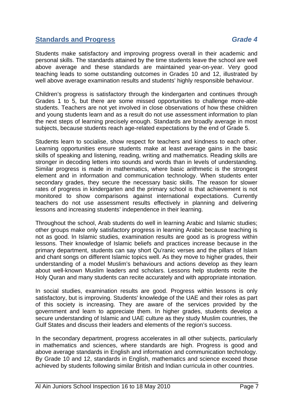#### **Standards and Progress** *Grade 4*

Students make satisfactory and improving progress overall in their academic and personal skills. The standards attained by the time students leave the school are well above average and these standards are maintained year-on-year. Very good teaching leads to some outstanding outcomes in Grades 10 and 12, illustrated by well above average examination results and students' highly responsible behaviour.

Children's progress is satisfactory through the kindergarten and continues through Grades 1 to 5, but there are some missed opportunities to challenge more-able students. Teachers are not yet involved in close observations of how these children and young students learn and as a result do not use assessment information to plan the next steps of learning precisely enough. Standards are broadly average in most subjects, because students reach age-related expectations by the end of Grade 5.

Students learn to socialise, show respect for teachers and kindness to each other. Learning opportunities ensure students make at least average gains in the basic skills of speaking and listening, reading, writing and mathematics. Reading skills are stronger in decoding letters into sounds and words than in levels of understanding. Similar progress is made in mathematics, where basic arithmetic is the strongest element and in information and communication technology. When students enter secondary grades, they secure the necessary basic skills. The reason for slower rates of progress in kindergarten and the primary school is that achievement is not monitored to show comparisons against international expectations. Currently teachers do not use assessment results effectively in planning and delivering lessons and increasing students' independence in their learning.

Throughout the school, Arab students do well in learning Arabic and Islamic studies; other groups make only satisfactory progress in learning Arabic because teaching is not as good. In Islamic studies, examination results are good as is progress within lessons. Their knowledge of Islamic beliefs and practices increase because in the primary department, students can say short Qu'ranic verses and the pillars of Islam and chant songs on different Islamic topics well. As they move to higher grades, their understanding of a model Muslim's behaviours and actions develop as they learn about well-known Muslim leaders and scholars. Lessons help students recite the Holy Quran and many students can recite accurately and with appropriate intonation.

In social studies, examination results are good. Progress within lessons is only satisfactory, but is improving. Students' knowledge of the UAE and their roles as part of this society is increasing. They are aware of the services provided by the government and learn to appreciate them. In higher grades, students develop a secure understanding of Islamic and UAE culture as they study Muslim countries, the Gulf States and discuss their leaders and elements of the region's success.

In the secondary department, progress accelerates in all other subjects, particularly in mathematics and sciences, where standards are high. Progress is good and above average standards in English and information and communication technology. By Grade 10 and 12, standards in English, mathematics and science exceed those achieved by students following similar British and Indian curricula in other countries.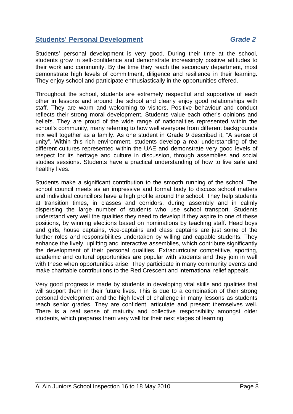#### **Students' Personal Development** *Grade 2*

Students' personal development is very good. During their time at the school, students grow in self-confidence and demonstrate increasingly positive attitudes to their work and community. By the time they reach the secondary department, most demonstrate high levels of commitment, diligence and resilience in their learning. They enjoy school and participate enthusiastically in the opportunities offered.

Throughout the school, students are extremely respectful and supportive of each other in lessons and around the school and clearly enjoy good relationships with staff. They are warm and welcoming to visitors. Positive behaviour and conduct reflects their strong moral development. Students value each other's opinions and beliefs. They are proud of the wide range of nationalities represented within the school's community, many referring to how well everyone from different backgrounds mix well together as a family. As one student in Grade 9 described it, "A sense of unity". Within this rich environment, students develop a real understanding of the different cultures represented within the UAE and demonstrate very good levels of respect for its heritage and culture in discussion, through assemblies and social studies sessions. Students have a practical understanding of how to live safe and healthy lives.

Students make a significant contribution to the smooth running of the school. The school council meets as an impressive and formal body to discuss school matters and individual councillors have a high profile around the school. They help students at transition times, in classes and corridors, during assembly and in calmly dispersing the large number of students who use school transport. Students understand very well the qualities they need to develop if they aspire to one of these positions, by winning elections based on nominations by teaching staff. Head boys and girls, house captains, vice-captains and class captains are just some of the further roles and responsibilities undertaken by willing and capable students. They enhance the lively, uplifting and interactive assemblies, which contribute significantly the development of their personal qualities. Extracurricular competitive, sporting, academic and cultural opportunities are popular with students and they join in well with these when opportunities arise. They participate in many community events and make charitable contributions to the Red Crescent and international relief appeals.

Very good progress is made by students in developing vital skills and qualities that will support them in their future lives. This is due to a combination of their strong personal development and the high level of challenge in many lessons as students reach senior grades. They are confident, articulate and present themselves well. There is a real sense of maturity and collective responsibility amongst older students, which prepares them very well for their next stages of learning.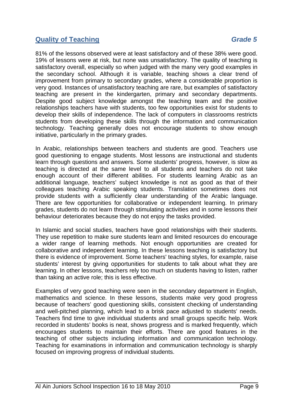#### **Quality of Teaching Grade 5**

81% of the lessons observed were at least satisfactory and of these 38% were good. 19% of lessons were at risk, but none was unsatisfactory. The quality of teaching is satisfactory overall, especially so when judged with the many very good examples in the secondary school. Although it is variable, teaching shows a clear trend of improvement from primary to secondary grades, where a considerable proportion is very good. Instances of unsatisfactory teaching are rare, but examples of satisfactory teaching are present in the kindergarten, primary and secondary departments. Despite good subject knowledge amongst the teaching team and the positive relationships teachers have with students, too few opportunities exist for students to develop their skills of independence. The lack of computers in classrooms restricts students from developing these skills through the information and communication technology. Teaching generally does not encourage students to show enough initiative, particularly in the primary grades.

In Arabic, relationships between teachers and students are good. Teachers use good questioning to engage students. Most lessons are instructional and students learn through questions and answers. Some students' progress, however, is slow as teaching is directed at the same level to all students and teachers do not take enough account of their different abilities. For students learning Arabic as an additional language, teachers' subject knowledge is not as good as that of their colleagues teaching Arabic speaking students. Translation sometimes does not provide students with a sufficiently clear understanding of the Arabic language. There are few opportunities for collaborative or independent learning. In primary grades, students do not learn through stimulating activities and in some lessons their behaviour deteriorates because they do not enjoy the tasks provided.

In Islamic and social studies, teachers have good relationships with their students. They use repetition to make sure students learn and limited resources do encourage a wider range of learning methods. Not enough opportunities are created for collaborative and independent learning. In these lessons teaching is satisfactory but there is evidence of improvement. Some teachers' teaching styles, for example, raise students' interest by giving opportunities for students to talk about what they are learning. In other lessons, teachers rely too much on students having to listen, rather than taking an active role; this is less effective.

Examples of very good teaching were seen in the secondary department in English, mathematics and science. In these lessons, students make very good progress because of teachers' good questioning skills, consistent checking of understanding and well-pitched planning, which lead to a brisk pace adjusted to students' needs. Teachers find time to give individual students and small groups specific help. Work recorded in students' books is neat, shows progress and is marked frequently, which encourages students to maintain their efforts. There are good features in the teaching of other subjects including information and communication technology. Teaching for examinations in information and communication technology is sharply focused on improving progress of individual students.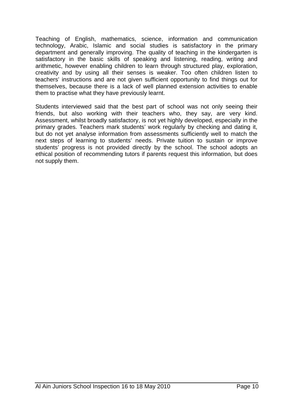Teaching of English, mathematics, science, information and communication technology, Arabic, Islamic and social studies is satisfactory in the primary department and generally improving. The quality of teaching in the kindergarten is satisfactory in the basic skills of speaking and listening, reading, writing and arithmetic, however enabling children to learn through structured play, exploration, creativity and by using all their senses is weaker. Too often children listen to teachers' instructions and are not given sufficient opportunity to find things out for themselves, because there is a lack of well planned extension activities to enable them to practise what they have previously learnt.

Students interviewed said that the best part of school was not only seeing their friends, but also working with their teachers who, they say, are very kind. Assessment, whilst broadly satisfactory, is not yet highly developed, especially in the primary grades. Teachers mark students' work regularly by checking and dating it, but do not yet analyse information from assessments sufficiently well to match the next steps of learning to students' needs. Private tuition to sustain or improve students' progress is not provided directly by the school. The school adopts an ethical position of recommending tutors if parents request this information, but does not supply them.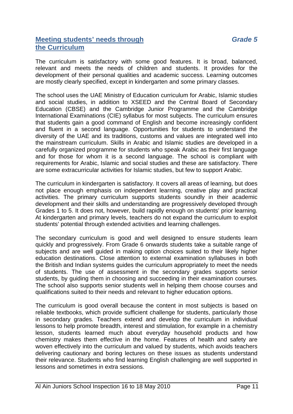#### **Meeting students' needs through** *Grade 5* **the Curriculum**

The curriculum is satisfactory with some good features. It is broad, balanced, relevant and meets the needs of children and students. It provides for the development of their personal qualities and academic success. Learning outcomes are mostly clearly specified, except in kindergarten and some primary classes.

The school uses the UAE Ministry of Education curriculum for Arabic, Islamic studies and social studies, in addition to XSEED and the Central Board of Secondary Education (CBSE) and the Cambridge Junior Programme and the Cambridge International Examinations (CIE) syllabus for most subjects. The curriculum ensures that students gain a good command of English and become increasingly confident and fluent in a second language. Opportunities for students to understand the diversity of the UAE and its traditions, customs and values are integrated well into the mainstream curriculum. Skills in Arabic and Islamic studies are developed in a carefully organized programme for students who speak Arabic as their first language and for those for whom it is a second language. The school is compliant with requirements for Arabic, Islamic and social studies and these are satisfactory. There are some extracurricular activities for Islamic studies, but few to support Arabic.

The curriculum in kindergarten is satisfactory. It covers all areas of learning, but does not place enough emphasis on independent learning, creative play and practical activities. The primary curriculum supports students soundly in their academic development and their skills and understanding are progressively developed through Grades 1 to 5. It does not, however, build rapidly enough on students' prior learning. At kindergarten and primary levels, teachers do not expand the curriculum to exploit students' potential through extended activities and learning challenges.

The secondary curriculum is good and well designed to ensure students learn quickly and progressively. From Grade 6 onwards students take a suitable range of subjects and are well guided in making option choices suited to their likely higher education destinations. Close attention to external examination syllabuses in both the British and Indian systems guides the curriculum appropriately to meet the needs of students. The use of assessment in the secondary grades supports senior students, by guiding them in choosing and succeeding in their examination courses. The school also supports senior students well in helping them choose courses and qualifications suited to their needs and relevant to higher education options.

The curriculum is good overall because the content in most subjects is based on reliable textbooks, which provide sufficient challenge for students, particularly those in secondary grades. Teachers extend and develop the curriculum in individual lessons to help promote breadth, interest and stimulation, for example in a chemistry lesson, students learned much about everyday household products and how chemistry makes them effective in the home. Features of health and safety are woven effectively into the curriculum and valued by students, which avoids teachers delivering cautionary and boring lectures on these issues as students understand their relevance. Students who find learning English challenging are well supported in lessons and sometimes in extra sessions.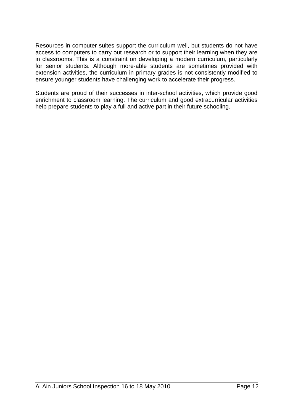Resources in computer suites support the curriculum well, but students do not have access to computers to carry out research or to support their learning when they are in classrooms. This is a constraint on developing a modern curriculum, particularly for senior students. Although more-able students are sometimes provided with extension activities, the curriculum in primary grades is not consistently modified to ensure younger students have challenging work to accelerate their progress.

Students are proud of their successes in inter-school activities, which provide good enrichment to classroom learning. The curriculum and good extracurricular activities help prepare students to play a full and active part in their future schooling.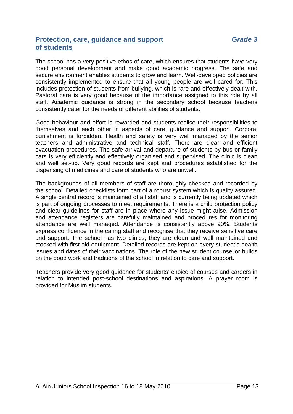#### **Protection, care, guidance and support** *Grade 3* **of students**

The school has a very positive ethos of care, which ensures that students have very good personal development and make good academic progress. The safe and secure environment enables students to grow and learn. Well-developed policies are consistently implemented to ensure that all young people are well cared for. This includes protection of students from bullying, which is rare and effectively dealt with. Pastoral care is very good because of the importance assigned to this role by all staff. Academic guidance is strong in the secondary school because teachers consistently cater for the needs of different abilities of students.

Good behaviour and effort is rewarded and students realise their responsibilities to themselves and each other in aspects of care, guidance and support. Corporal punishment is forbidden. Health and safety is very well managed by the senior teachers and administrative and technical staff. There are clear and efficient evacuation procedures. The safe arrival and departure of students by bus or family cars is very efficiently and effectively organised and supervised. The clinic is clean and well set-up. Very good records are kept and procedures established for the dispensing of medicines and care of students who are unwell.

The backgrounds of all members of staff are thoroughly checked and recorded by the school. Detailed checklists form part of a robust system which is quality assured. A single central record is maintained of all staff and is currently being updated which is part of ongoing processes to meet requirements. There is a child protection policy and clear guidelines for staff are in place where any issue might arise. Admission and attendance registers are carefully maintained and procedures for monitoring attendance are well managed. Attendance is consistently above 90%. Students express confidence in the caring staff and recognise that they receive sensitive care and support. The school has two clinics; they are clean and well maintained and stocked with first aid equipment. Detailed records are kept on every student's health issues and dates of their vaccinations. The role of the new student counsellor builds on the good work and traditions of the school in relation to care and support.

Teachers provide very good guidance for students' choice of courses and careers in relation to intended post-school destinations and aspirations. A prayer room is provided for Muslim students.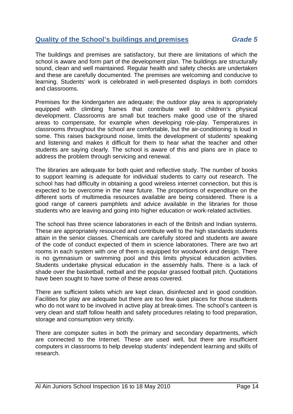#### **Quality of the School's buildings and premises** *Grade 5*

The buildings and premises are satisfactory, but there are limitations of which the school is aware and form part of the development plan. The buildings are structurally sound, clean and well maintained. Regular health and safety checks are undertaken and these are carefully documented. The premises are welcoming and conducive to learning. Students' work is celebrated in well-presented displays in both corridors and classrooms.

Premises for the kindergarten are adequate; the outdoor play area is appropriately equipped with climbing frames that contribute well to children's physical development. Classrooms are small but teachers make good use of the shared areas to compensate, for example when developing role-play. Temperatures in classrooms throughout the school are comfortable, but the air-conditioning is loud in some. This raises background noise, limits the development of students' speaking and listening and makes it difficult for them to hear what the teacher and other students are saying clearly. The school is aware of this and plans are in place to address the problem through servicing and renewal.

The libraries are adequate for both quiet and reflective study. The number of books to support learning is adequate for individual students to carry out research. The school has had difficulty in obtaining a good wireless internet connection, but this is expected to be overcome in the near future. The proportions of expenditure on the different sorts of multimedia resources available are being considered. There is a good range of careers pamphlets and advice available in the libraries for those students who are leaving and going into higher education or work-related activities.

The school has three science laboratories in each of the British and Indian systems. These are appropriately resourced and contribute well to the high standards students attain in the senior classes. Chemicals are carefully stored and students are aware of the code of conduct expected of them in science laboratories. There are two art rooms in each system with one of them is equipped for woodwork and design. There is no gymnasium or swimming pool and this limits physical education activities. Students undertake physical education in the assembly halls. There is a lack of shade over the basketball, netball and the popular grassed football pitch. Quotations have been sought to have some of these areas covered.

There are sufficient toilets which are kept clean, disinfected and in good condition. Facilities for play are adequate but there are too few quiet places for those students who do not want to be involved in active play at break-times. The school's canteen is very clean and staff follow health and safety procedures relating to food preparation, storage and consumption very strictly.

There are computer suites in both the primary and secondary departments, which are connected to the Internet. These are used well, but there are insufficient computers in classrooms to help develop students' independent learning and skills of research.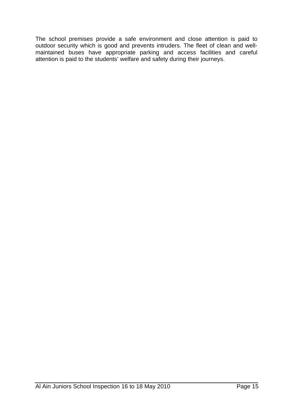The school premises provide a safe environment and close attention is paid to outdoor security which is good and prevents intruders. The fleet of clean and wellmaintained buses have appropriate parking and access facilities and careful attention is paid to the students' welfare and safety during their journeys.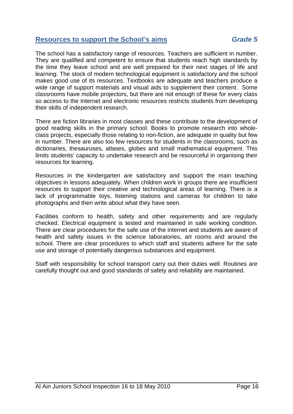#### **Resources to support the School's aims** *Grade 5*

The school has a satisfactory range of resources. Teachers are sufficient in number. They are qualified and competent to ensure that students reach high standards by the time they leave school and are well prepared for their next stages of life and learning. The stock of modern technological equipment is satisfactory and the school makes good use of its resources. Textbooks are adequate and teachers produce a wide range of support materials and visual aids to supplement their content. Some classrooms have mobile projectors, but there are not enough of these for every class so access to the Internet and electronic resources restricts students from developing their skills of independent research.

There are fiction libraries in most classes and these contribute to the development of good reading skills in the primary school. Books to promote research into wholeclass projects, especially those relating to non-fiction, are adequate in quality but few in number. There are also too few resources for students in the classrooms, such as dictionaries, thesauruses, atlases, globes and small mathematical equipment. This limits students' capacity to undertake research and be resourceful in organising their resources for learning.

Resources in the kindergarten are satisfactory and support the main teaching objectives in lessons adequately. When children work in groups there are insufficient resources to support their creative and technological areas of learning. There is a lack of programmable toys, listening stations and cameras for children to take photographs and then write about what they have seen.

Facilities conform to health, safety and other requirements and are regularly checked. Electrical equipment is tested and maintained in safe working condition. There are clear procedures for the safe use of the internet and students are aware of health and safety issues in the science laboratories, art rooms and around the school. There are clear procedures to which staff and students adhere for the safe use and storage of potentially dangerous substances and equipment.

Staff with responsibility for school transport carry out their duties well. Routines are carefully thought out and good standards of safety and reliability are maintained.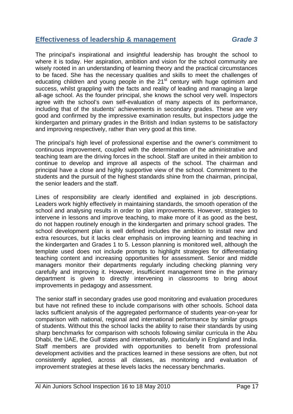#### **Effectiveness of leadership & management** *Grade 3*

The principal's inspirational and insightful leadership has brought the school to where it is today. Her aspiration, ambition and vision for the school community are wisely rooted in an understanding of learning theory and the practical circumstances to be faced. She has the necessary qualities and skills to meet the challenges of educating children and young people in the  $21<sup>st</sup>$  century with huge optimism and success, whilst grappling with the facts and reality of leading and managing a large all-age school. As the founder principal, she knows the school very well. Inspectors agree with the school's own self-evaluation of many aspects of its performance, including that of the students' achievements in secondary grades. These are very good and confirmed by the impressive examination results, but inspectors judge the kindergarten and primary grades in the British and Indian systems to be satisfactory and improving respectively, rather than very good at this time.

The principal's high level of professional expertise and the owner's commitment to continuous improvement, coupled with the determination of the administrative and teaching team are the driving forces in the school. Staff are united in their ambition to continue to develop and improve all aspects of the school. The chairman and principal have a close and highly supportive view of the school. Commitment to the students and the pursuit of the highest standards shine from the chairman, principal, the senior leaders and the staff.

Lines of responsibility are clearly identified and explained in job descriptions. Leaders work highly effectively in maintaining standards, the smooth operation of the school and analysing results in order to plan improvements. However, strategies to intervene in lessons and improve teaching, to make more of it as good as the best, do not happen routinely enough in the kindergarten and primary school grades. The school development plan is well defined includes the ambition to install new and extra resources, but it lacks clear emphasis on improving learning and teaching in the kindergarten and Grades 1 to 5. Lesson planning is monitored well, although the template used does not include prompts to highlight strategies for differentiating teaching content and increasing opportunities for assessment. Senior and middle managers monitor their departments regularly including checking planning very carefully and improving it. However, insufficient management time in the primary department is given to directly intervening in classrooms to bring about improvements in pedagogy and assessment.

The senior staff in secondary grades use good monitoring and evaluation procedures but have not refined these to include comparisons with other schools. School data lacks sufficient analysis of the aggregated performance of students year-on-year for comparison with national, regional and international performance by similar groups of students. Without this the school lacks the ability to raise their standards by using sharp benchmarks for comparison with schools following similar curricula in the Abu Dhabi, the UAE, the Gulf states and internationally, particularly in England and India. Staff members are provided with opportunities to benefit from professional development activities and the practices learned in these sessions are often, but not consistently applied, across all classes, as monitoring and evaluation of improvement strategies at these levels lacks the necessary benchmarks.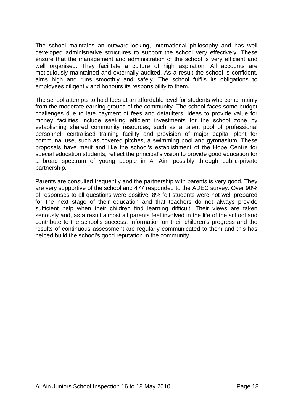The school maintains an outward-looking, international philosophy and has well developed administrative structures to support the school very effectively. These ensure that the management and administration of the school is very efficient and well organised. They facilitate a culture of high aspiration. All accounts are meticulously maintained and externally audited. As a result the school is confident, aims high and runs smoothly and safely. The school fulfils its obligations to employees diligently and honours its responsibility to them.

The school attempts to hold fees at an affordable level for students who come mainly from the moderate earning groups of the community. The school faces some budget challenges due to late payment of fees and defaulters. Ideas to provide value for money facilities include seeking efficient investments for the school zone by establishing shared community resources, such as a talent pool of professional personnel, centralised training facility and provision of major capital plant for communal use, such as covered pitches, a swimming pool and gymnasium. These proposals have merit and like the school's establishment of the Hope Centre for special education students, reflect the principal's vision to provide good education for a broad spectrum of young people in Al Ain, possibly through public-private partnership.

Parents are consulted frequently and the partnership with parents is very good. They are very supportive of the school and 477 responded to the ADEC survey. Over 90% of responses to all questions were positive; 8% felt students were not well prepared for the next stage of their education and that teachers do not always provide sufficient help when their children find learning difficult. Their views are taken seriously and, as a result almost all parents feel involved in the life of the school and contribute to the school's success. Information on their children's progress and the results of continuous assessment are regularly communicated to them and this has helped build the school's good reputation in the community.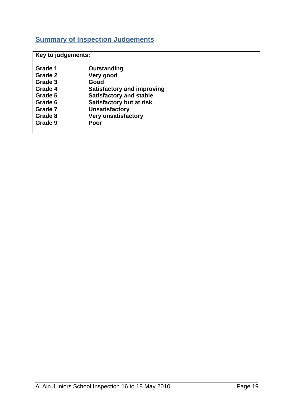## **Summary of Inspection Judgements**

**Key to judgements:** 

| Grade 1 | Outstanding                       |
|---------|-----------------------------------|
| Grade 2 | Very good                         |
| Grade 3 | Good                              |
| Grade 4 | <b>Satisfactory and improving</b> |
| Grade 5 | <b>Satisfactory and stable</b>    |
| Grade 6 | <b>Satisfactory but at risk</b>   |
| Grade 7 | <b>Unsatisfactory</b>             |
| Grade 8 | <b>Very unsatisfactory</b>        |
| Grade 9 | Poor                              |
|         |                                   |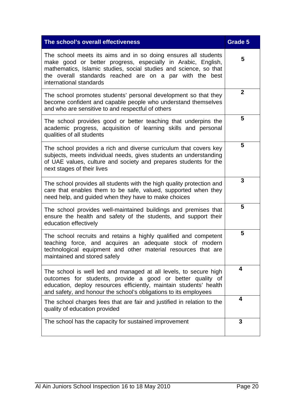| The school's overall effectiveness                                                                                                                                                                                                                                                         | Grade 5      |
|--------------------------------------------------------------------------------------------------------------------------------------------------------------------------------------------------------------------------------------------------------------------------------------------|--------------|
| The school meets its aims and in so doing ensures all students<br>make good or better progress, especially in Arabic, English,<br>mathematics, Islamic studies, social studies and science, so that<br>the overall standards reached are on a par with the best<br>international standards | 5            |
| The school promotes students' personal development so that they<br>become confident and capable people who understand themselves<br>and who are sensitive to and respectful of others                                                                                                      | $\mathbf{2}$ |
| The school provides good or better teaching that underpins the<br>academic progress, acquisition of learning skills and personal<br>qualities of all students                                                                                                                              | 5            |
| The school provides a rich and diverse curriculum that covers key<br>subjects, meets individual needs, gives students an understanding<br>of UAE values, culture and society and prepares students for the<br>next stages of their lives                                                   | 5            |
| The school provides all students with the high quality protection and<br>care that enables them to be safe, valued, supported when they<br>need help, and guided when they have to make choices                                                                                            | 3            |
| The school provides well-maintained buildings and premises that<br>ensure the health and safety of the students, and support their<br>education effectively                                                                                                                                | 5            |
| The school recruits and retains a highly qualified and competent<br>teaching force, and acquires an adequate stock of modern<br>technological equipment and other material resources that are<br>maintained and stored safely                                                              | 5            |
| The school is well led and managed at all levels, to secure high<br>outcomes for students, provide a good or better quality of<br>education, deploy resources efficiently, maintain students' health<br>and safety, and honour the school's obligations to its employees                   | 4            |
| The school charges fees that are fair and justified in relation to the<br>quality of education provided                                                                                                                                                                                    | 4            |
| The school has the capacity for sustained improvement                                                                                                                                                                                                                                      | 3            |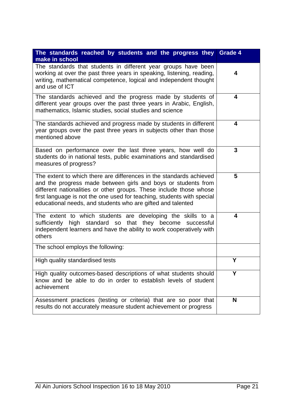| The standards reached by students and the progress they<br>make in school                                                                                                                                                                                                                                                                           | <b>Grade 4</b> |
|-----------------------------------------------------------------------------------------------------------------------------------------------------------------------------------------------------------------------------------------------------------------------------------------------------------------------------------------------------|----------------|
| The standards that students in different year groups have been<br>working at over the past three years in speaking, listening, reading,<br>writing, mathematical competence, logical and independent thought<br>and use of ICT                                                                                                                      | 4              |
| The standards achieved and the progress made by students of<br>different year groups over the past three years in Arabic, English,<br>mathematics, Islamic studies, social studies and science                                                                                                                                                      | 4              |
| The standards achieved and progress made by students in different<br>year groups over the past three years in subjects other than those<br>mentioned above                                                                                                                                                                                          | 4              |
| Based on performance over the last three years, how well do<br>students do in national tests, public examinations and standardised<br>measures of progress?                                                                                                                                                                                         | 3              |
| The extent to which there are differences in the standards achieved<br>and the progress made between girls and boys or students from<br>different nationalities or other groups. These include those whose<br>first language is not the one used for teaching, students with special<br>educational needs, and students who are gifted and talented | 5              |
| The extent to which students are developing the skills to a<br>sufficiently high standard so that they become successful<br>independent learners and have the ability to work cooperatively with<br>others                                                                                                                                          | 4              |
| The school employs the following:                                                                                                                                                                                                                                                                                                                   |                |
| High quality standardised tests                                                                                                                                                                                                                                                                                                                     | Υ              |
| High quality outcomes-based descriptions of what students should<br>know and be able to do in order to establish levels of student<br>achievement                                                                                                                                                                                                   | Υ              |
| Assessment practices (testing or criteria) that are so poor that<br>results do not accurately measure student achievement or progress                                                                                                                                                                                                               | N              |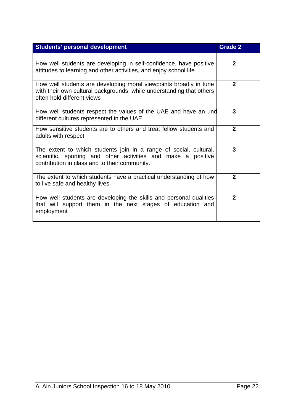| <b>Students' personal development</b>                                                                                                                                               | <b>Grade 2</b> |
|-------------------------------------------------------------------------------------------------------------------------------------------------------------------------------------|----------------|
| How well students are developing in self-confidence, have positive<br>attitudes to learning and other activities, and enjoy school life                                             | $\mathbf{2}$   |
| How well students are developing moral viewpoints broadly in tune<br>with their own cultural backgrounds, while understanding that others<br>often hold different views             | $\mathbf{2}$   |
| How well students respect the values of the UAE and have an und<br>different cultures represented in the UAE                                                                        | 3              |
| How sensitive students are to others and treat fellow students and<br>adults with respect                                                                                           | $\mathbf{2}$   |
| The extent to which students join in a range of social, cultural,<br>scientific, sporting and other activities and make a positive<br>contribution in class and to their community. | 3              |
| The extent to which students have a practical understanding of how<br>to live safe and healthy lives.                                                                               | $\mathbf{2}$   |
| How well students are developing the skills and personal qualities<br>that will support them in the next stages of education and<br>employment                                      | $\overline{2}$ |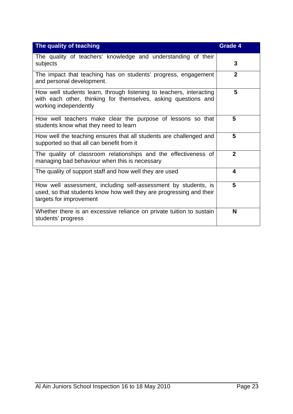| The quality of teaching                                                                                                                                          | <b>Grade 4</b> |
|------------------------------------------------------------------------------------------------------------------------------------------------------------------|----------------|
| The quality of teachers' knowledge and understanding of their<br>subjects                                                                                        | 3              |
| The impact that teaching has on students' progress, engagement<br>and personal development.                                                                      | $\mathbf{2}$   |
| How well students learn, through listening to teachers, interacting<br>with each other, thinking for themselves, asking questions and<br>working independently   | 5              |
| How well teachers make clear the purpose of lessons so that<br>students know what they need to learn                                                             | 5              |
| How well the teaching ensures that all students are challenged and<br>supported so that all can benefit from it                                                  | 5              |
| The quality of classroom relationships and the effectiveness of<br>managing bad behaviour when this is necessary                                                 | $\overline{2}$ |
| The quality of support staff and how well they are used                                                                                                          | 4              |
| How well assessment, including self-assessment by students, is<br>used, so that students know how well they are progressing and their<br>targets for improvement | 5              |
| Whether there is an excessive reliance on private tuition to sustain<br>students' progress                                                                       | N              |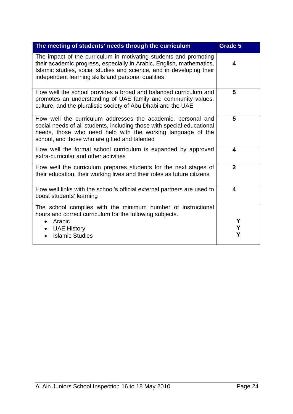| The meeting of students' needs through the curriculum                                                                                                                                                                                                                   | Grade 5                 |
|-------------------------------------------------------------------------------------------------------------------------------------------------------------------------------------------------------------------------------------------------------------------------|-------------------------|
| The impact of the curriculum in motivating students and promoting<br>their academic progress, especially in Arabic, English, mathematics,<br>Islamic studies, social studies and science, and in developing their<br>independent learning skills and personal qualities | 4                       |
| How well the school provides a broad and balanced curriculum and<br>promotes an understanding of UAE family and community values,<br>culture, and the pluralistic society of Abu Dhabi and the UAE                                                                      | 5                       |
| How well the curriculum addresses the academic, personal and<br>social needs of all students, including those with special educational<br>needs, those who need help with the working language of the<br>school, and those who are gifted and talented                  | 5                       |
| How well the formal school curriculum is expanded by approved<br>extra-curricular and other activities                                                                                                                                                                  | $\overline{\mathbf{4}}$ |
| How well the curriculum prepares students for the next stages of<br>their education, their working lives and their roles as future citizens                                                                                                                             | $\overline{2}$          |
| How well links with the school's official external partners are used to<br>boost students' learning                                                                                                                                                                     | $\overline{\mathbf{4}}$ |
| The school complies with the minimum number of instructional<br>hours and correct curriculum for the following subjects.<br>Arabic<br>$\bullet$                                                                                                                         | Υ                       |
| <b>UAE History</b><br><b>Islamic Studies</b>                                                                                                                                                                                                                            | Υ<br>Υ                  |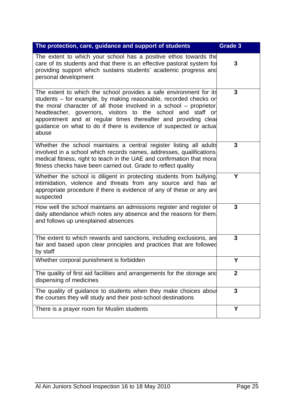| The protection, care, guidance and support of students                                                                                                                                                                                                                                                                                                                                                                         | Grade 3          |
|--------------------------------------------------------------------------------------------------------------------------------------------------------------------------------------------------------------------------------------------------------------------------------------------------------------------------------------------------------------------------------------------------------------------------------|------------------|
| The extent to which your school has a positive ethos towards the<br>care of its students and that there is an effective pastoral system for<br>providing support which sustains students' academic progress and<br>personal development                                                                                                                                                                                        | 3                |
| The extent to which the school provides a safe environment for its<br>students – for example, by making reasonable, recorded checks or<br>the moral character of all those involved in a school – proprietor.<br>headteacher, governors, visitors to the school and staff or<br>appointment and at regular times thereafter and providing cleat<br>guidance on what to do if there is evidence of suspected or actual<br>abuse | 3                |
| Whether the school maintains a central register listing all adults<br>involved in a school which records names, addresses, qualifications.<br>medical fitness, right to teach in the UAE and confirmation that mora<br>fitness checks have been carried out. Grade to reflect quality                                                                                                                                          | 3                |
| Whether the school is diligent in protecting students from bullying.<br>intimidation, violence and threats from any source and has an<br>appropriate procedure if there is evidence of any of these or any are<br>suspected                                                                                                                                                                                                    | Υ                |
| How well the school maintains an admissions register and register of<br>daily attendance which notes any absence and the reasons for them.<br>and follows up unexplained absences                                                                                                                                                                                                                                              | 3                |
| The extent to which rewards and sanctions, including exclusions, are<br>fair and based upon clear principles and practices that are followed<br>by staff                                                                                                                                                                                                                                                                       | 3                |
| Whether corporal punishment is forbidden                                                                                                                                                                                                                                                                                                                                                                                       | Υ                |
| The quality of first aid facilities and arrangements for the storage and<br>dispensing of medicines                                                                                                                                                                                                                                                                                                                            | $\boldsymbol{2}$ |
| The quality of guidance to students when they make choices about<br>the courses they will study and their post-school destinations                                                                                                                                                                                                                                                                                             | 3                |
| There is a prayer room for Muslim students                                                                                                                                                                                                                                                                                                                                                                                     | Y                |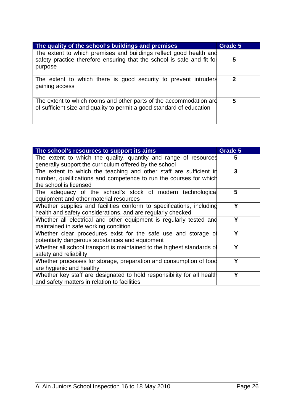| The quality of the school's buildings and premises                                                                                                      | Grade 5 |
|---------------------------------------------------------------------------------------------------------------------------------------------------------|---------|
| The extent to which premises and buildings reflect good health and<br>safety practice therefore ensuring that the school is safe and fit for<br>purpose | 5       |
| The extent to which there is good security to prevent intruders<br>gaining access                                                                       | າ       |
| The extent to which rooms and other parts of the accommodation are<br>of sufficient size and quality to permit a good standard of education             | 5       |

| The school's resources to support its aims                             | Grade 5 |
|------------------------------------------------------------------------|---------|
| The extent to which the quality, quantity and range of resources       | 5       |
| generally support the curriculum offered by the school                 |         |
| The extent to which the teaching and other staff are sufficient in     | 3       |
| number, qualifications and competence to run the courses for which     |         |
| the school is licensed                                                 |         |
| The adequacy of the school's stock of modern technological             | 5       |
| equipment and other material resources                                 |         |
| Whether supplies and facilities conform to specifications, including   | Υ       |
| health and safety considerations, and are regularly checked            |         |
| Whether all electrical and other equipment is regularly tested and     | Υ       |
| maintained in safe working condition                                   |         |
| Whether clear procedures exist for the safe use and storage of         | Y       |
| potentially dangerous substances and equipment                         |         |
| Whether all school transport is maintained to the highest standards of | γ       |
| safety and reliability                                                 |         |
| Whether processes for storage, preparation and consumption of food     | Y       |
| are hygienic and healthy                                               |         |
| Whether key staff are designated to hold responsibility for all health | Υ       |
| and safety matters in relation to facilities                           |         |